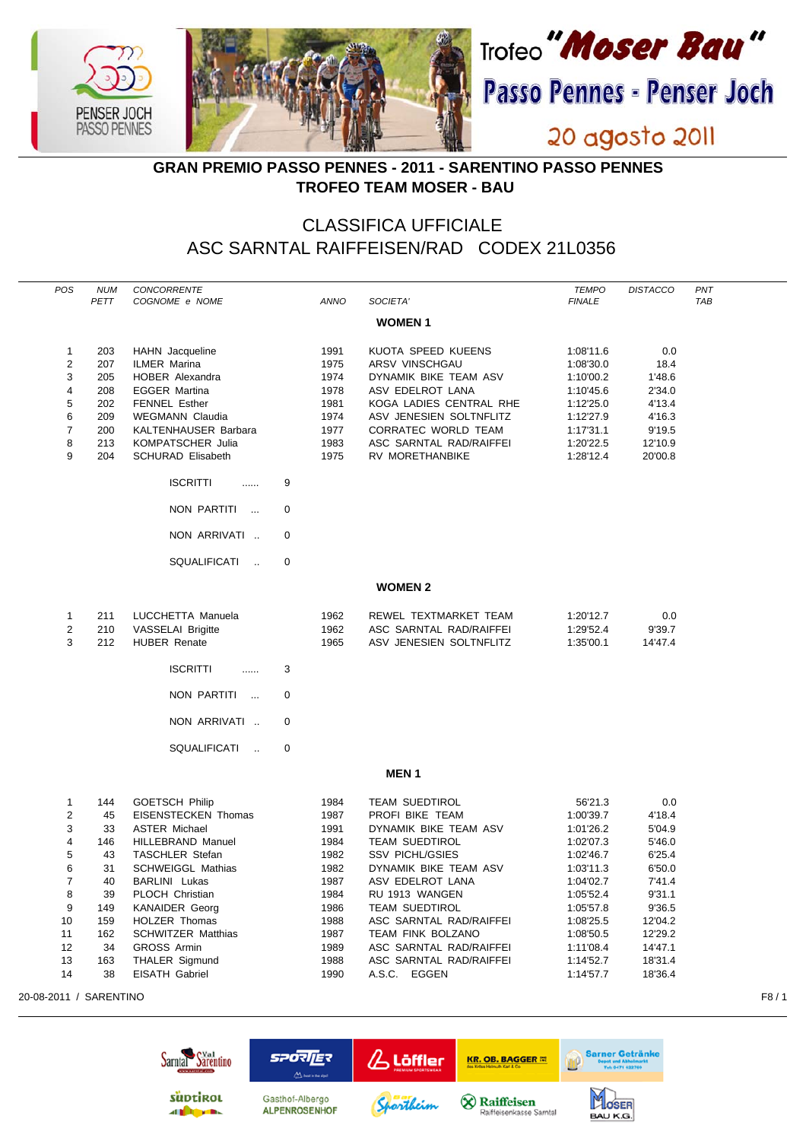

## **GRAN PREMIO PASSO PENNES - 2011 - SARENTINO PASSO PENNES TROFEO TEAM MOSER - BAU**

## CLASSIFICA UFFICIALE ASC SARNTAL RAIFFEISEN/RAD CODEX 21L0356

| POS                 | <b>NUM</b><br>PETT | <b>CONCORRENTE</b><br>COGNOME e NOME    |             | <b>ANNO</b>  | SOCIETA'                           | <b>TEMPO</b><br><b>FINALE</b> | <b>DISTACCO</b>  | PNT<br><b>TAB</b> |
|---------------------|--------------------|-----------------------------------------|-------------|--------------|------------------------------------|-------------------------------|------------------|-------------------|
|                     |                    |                                         |             |              |                                    |                               |                  |                   |
|                     |                    |                                         |             |              | <b>WOMEN1</b>                      |                               |                  |                   |
| 1                   | 203                | HAHN Jacqueline                         |             | 1991         | KUOTA SPEED KUEENS                 | 1:08'11.6                     | 0.0              |                   |
| $\overline{2}$      | 207                | <b>ILMER Marina</b>                     |             | 1975         | ARSV VINSCHGAU                     | 1:08'30.0                     | 18.4             |                   |
| 3                   | 205                | HOBER Alexandra                         |             | 1974         | DYNAMIK BIKE TEAM ASV              | 1:10'00.2                     | 1'48.6           |                   |
| $\overline{4}$      | 208                | <b>EGGER Martina</b>                    |             | 1978         | ASV EDELROT LANA                   | 1:10'45.6                     | 2'34.0           |                   |
| 5                   | 202                | <b>FENNEL Esther</b>                    |             | 1981         | KOGA LADIES CENTRAL RHE            | 1:12'25.0                     | 4'13.4           |                   |
| 6                   | 209                | <b>WEGMANN Claudia</b>                  |             | 1974         | ASV JENESIEN SOLTNFLITZ            | 1:12'27.9                     | 4'16.3           |                   |
| $\overline{7}$      | 200                | KALTENHAUSER Barbara                    |             | 1977         | CORRATEC WORLD TEAM                | 1:17'31.1                     | 9'19.5           |                   |
| 8<br>9              | 213                | KOMPATSCHER Julia                       |             | 1983         | ASC SARNTAL RAD/RAIFFEI            | 1:20'22.5                     | 12'10.9          |                   |
|                     | 204                | <b>SCHURAD Elisabeth</b>                |             | 1975         | <b>RV MORETHANBIKE</b>             | 1:28'12.4                     | 20'00.8          |                   |
|                     |                    | <b>ISCRITTI</b><br>.                    | 9           |              |                                    |                               |                  |                   |
|                     |                    | NON PARTITI<br>$\sim$                   | $\pmb{0}$   |              |                                    |                               |                  |                   |
|                     |                    | NON ARRIVATI                            | $\mathbf 0$ |              |                                    |                               |                  |                   |
|                     |                    | SQUALIFICATI<br>$\sim$                  | $\mathbf 0$ |              |                                    |                               |                  |                   |
|                     |                    |                                         |             |              | <b>WOMEN 2</b>                     |                               |                  |                   |
| 1                   | 211                | LUCCHETTA Manuela                       |             | 1962         | REWEL TEXTMARKET TEAM              | 1:20'12.7                     | 0.0              |                   |
| $\overline{2}$      | 210                | <b>VASSELAI Brigitte</b>                |             | 1962         | ASC SARNTAL RAD/RAIFFEI            | 1:29'52.4                     | 9'39.7           |                   |
| 3                   | 212                | <b>HUBER Renate</b>                     |             | 1965         | ASV JENESIEN SOLTNFLITZ            | 1:35'00.1                     | 14'47.4          |                   |
|                     |                    | <b>ISCRITTI</b><br>.                    | 3           |              |                                    |                               |                  |                   |
|                     |                    |                                         |             |              |                                    |                               |                  |                   |
|                     |                    | NON PARTITI<br>$\sim$                   | $\mathbf 0$ |              |                                    |                               |                  |                   |
|                     |                    | NON ARRIVATI                            | $\mathbf 0$ |              |                                    |                               |                  |                   |
|                     |                    | SQUALIFICATI<br>$\ddotsc$               | $\mathbf 0$ |              |                                    |                               |                  |                   |
|                     |                    |                                         |             |              | <b>MEN1</b>                        |                               |                  |                   |
| 1                   | 144                | <b>GOETSCH Philip</b>                   |             | 1984         | <b>TEAM SUEDTIROL</b>              | 56'21.3                       | 0.0              |                   |
| $\overline{2}$      | 45                 | <b>EISENSTECKEN Thomas</b>              |             | 1987         | PROFI BIKE TEAM                    | 1:00'39.7                     | 4'18.4           |                   |
| 3                   | 33                 | <b>ASTER Michael</b>                    |             | 1991         | DYNAMIK BIKE TEAM ASV              | 1:01'26.2                     | 5'04.9           |                   |
| $\overline{4}$      | 146                | <b>HILLEBRAND Manuel</b>                |             | 1984         | <b>TEAM SUEDTIROL</b>              | 1:02'07.3                     | 5'46.0           |                   |
| 5                   | 43                 | <b>TASCHLER Stefan</b>                  |             | 1982         | <b>SSV PICHL/GSIES</b>             | 1:02'46.7                     | 6'25.4           |                   |
| 6<br>$\overline{7}$ | 31                 | <b>SCHWEIGGL Mathias</b>                |             | 1982         | DYNAMIK BIKE TEAM ASV              | 1:03'11.3                     | 6'50.0           |                   |
| 8                   | 40<br>39           | <b>BARLINI</b> Lukas<br>PLOCH Christian |             | 1987<br>1984 | ASV EDELROT LANA<br>RU 1913 WANGEN | 1:04'02.7<br>1:05'52.4        | 7'41.4<br>9'31.1 |                   |
| 9                   | 149                | <b>KANAIDER Georg</b>                   |             | 1986         | <b>TEAM SUEDTIROL</b>              | 1:05'57.8                     | 9'36.5           |                   |
| 10                  | 159                | <b>HOLZER Thomas</b>                    |             | 1988         | ASC SARNTAL RAD/RAIFFEI            | 1:08'25.5                     | 12'04.2          |                   |
| 11                  | 162                | <b>SCHWITZER Matthias</b>               |             | 1987         | TEAM FINK BOLZANO                  | 1:08'50.5                     | 12'29.2          |                   |
| 12                  | 34                 | <b>GROSS Armin</b>                      |             | 1989         | ASC SARNTAL RAD/RAIFFEI            | 1:11'08.4                     | 14'47.1          |                   |
| 13                  | 163                | <b>THALER Sigmund</b>                   |             | 1988         | ASC SARNTAL RAD/RAIFFEI            | 1:14'52.7                     | 18'31.4          |                   |
| 14                  | 38                 | EISATH Gabriel                          |             | 1990         | A.S.C. EGGEN                       | 1:14'57.7                     | 18'36.4          |                   |

20-08-2011 / SARENTINO F8 / 1

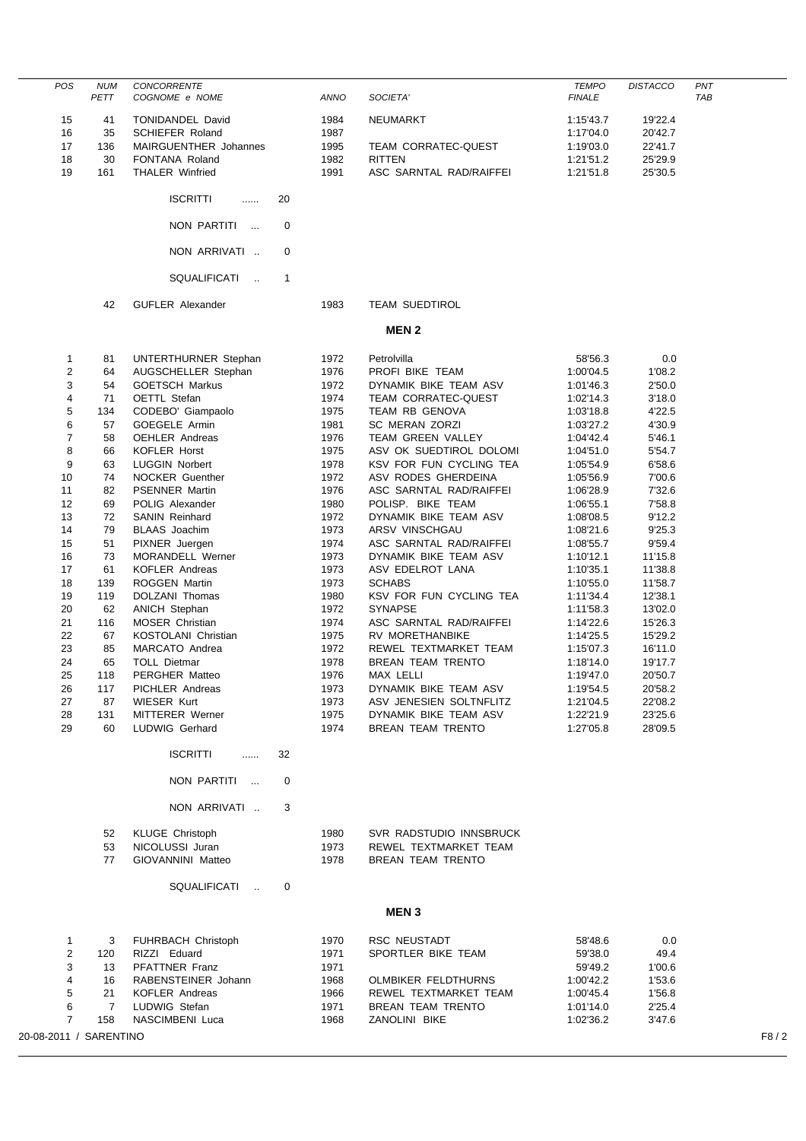| <b>POS</b>             | <b>NUM</b><br>PETT   | CONCORRENTE<br>COGNOME e NOME            |              | ANNO         | SOCIETA'                                     | <b>TEMPO</b><br><b>FINALE</b> | <b>DISTACCO</b>  | PNT<br>TAB |
|------------------------|----------------------|------------------------------------------|--------------|--------------|----------------------------------------------|-------------------------------|------------------|------------|
| 15                     | 41                   | TONIDANDEL David                         |              | 1984         | NEUMARKT                                     | 1:15'43.7                     | 19'22.4          |            |
| 16                     | 35                   | <b>SCHIEFER Roland</b>                   |              | 1987         |                                              | 1:17'04.0                     | 20'42.7          |            |
| 17                     | 136                  | MAIRGUENTHER Johannes                    |              | 1995         | TEAM CORRATEC-QUEST                          | 1:19'03.0                     | 22'41.7          |            |
| 18                     | 30                   | FONTANA Roland                           |              | 1982         | <b>RITTEN</b>                                | 1:21'51.2                     | 25'29.9          |            |
| 19                     | 161                  | <b>THALER Winfried</b>                   |              | 1991         | ASC SARNTAL RAD/RAIFFEI                      | 1:21'51.8                     | 25'30.5          |            |
|                        |                      | <b>ISCRITTI</b><br>$\ldots$              | 20           |              |                                              |                               |                  |            |
|                        |                      | NON PARTITI                              | 0            |              |                                              |                               |                  |            |
|                        |                      | NON ARRIVATI                             | 0            |              |                                              |                               |                  |            |
|                        |                      | SQUALIFICATI<br>$\sim$                   | $\mathbf{1}$ |              |                                              |                               |                  |            |
|                        | 42                   | <b>GUFLER Alexander</b>                  |              | 1983         | <b>TEAM SUEDTIROL</b>                        |                               |                  |            |
|                        |                      |                                          |              |              | <b>MEN2</b>                                  |                               |                  |            |
| $\mathbf{1}$           | 81                   | UNTERTHURNER Stephan                     |              | 1972         | Petrolvilla                                  | 58'56.3                       | 0.0              |            |
| $\overline{2}$         | 64                   | AUGSCHELLER Stephan                      |              | 1976         | PROFI BIKE TEAM                              | 1:00'04.5                     | 1'08.2           |            |
| 3                      | 54                   | <b>GOETSCH Markus</b>                    |              | 1972         | DYNAMIK BIKE TEAM ASV                        | 1:01'46.3                     | 2'50.0           |            |
| 4                      | 71                   | OETTL Stefan                             |              | 1974         | TEAM CORRATEC-QUEST                          | 1:02'14.3                     | 3'18.0           |            |
| 5                      | 134                  | CODEBO' Giampaolo                        |              | 1975         | TEAM RB GENOVA                               | 1:03'18.8                     | 4'22.5           |            |
| 6                      | 57                   | GOEGELE Armin                            |              | 1981         | <b>SC MERAN ZORZI</b>                        | 1:03'27.2                     | 4'30.9           |            |
| $\overline{7}$         | 58                   | <b>OEHLER Andreas</b>                    |              | 1976         | TEAM GREEN VALLEY                            | 1:04'42.4                     | 5'46.1           |            |
| 8                      | 66                   | <b>KOFLER Horst</b>                      |              | 1975         | ASV OK SUEDTIROL DOLOMI                      | 1:04'51.0                     | 5'54.7           |            |
| 9                      | 63                   | <b>LUGGIN Norbert</b>                    |              | 1978         | KSV FOR FUN CYCLING TEA                      | 1:05'54.9                     | 6'58.6           |            |
| 10                     | 74                   | <b>NOCKER Guenther</b>                   |              | 1972         | ASV RODES GHERDEINA                          | 1:05'56.9                     | 7'00.6           |            |
| 11<br>12               | 82<br>69             | <b>PSENNER Martin</b><br>POLIG Alexander |              | 1976<br>1980 | ASC SARNTAL RAD/RAIFFEI<br>POLISP. BIKE TEAM | 1:06'28.9<br>1:06'55.1        | 7'32.6<br>7'58.8 |            |
| 13                     | 72                   | SANIN Reinhard                           |              | 1972         | DYNAMIK BIKE TEAM ASV                        | 1:08'08.5                     | 9'12.2           |            |
| 14                     | 79                   | <b>BLAAS</b> Joachim                     |              | 1973         | ARSV VINSCHGAU                               | 1:08'21.6                     | 9'25.3           |            |
| 15                     | 51                   | PIXNER Juergen                           |              | 1974         | ASC SARNTAL RAD/RAIFFEI                      | 1:08'55.7                     | 9'59.4           |            |
| 16                     | 73                   | MORANDELL Werner                         |              | 1973         | DYNAMIK BIKE TEAM ASV                        | 1:10'12.1                     | 11'15.8          |            |
| 17                     | 61                   | <b>KOFLER Andreas</b>                    |              | 1973         | ASV EDELROT LANA                             | 1:10'35.1                     | 11'38.8          |            |
| 18                     | 139                  | <b>ROGGEN Martin</b>                     |              | 1973         | <b>SCHABS</b>                                | 1:10'55.0                     | 11'58.7          |            |
| 19                     | 119                  | DOLZANI Thomas                           |              | 1980         | KSV FOR FUN CYCLING TEA                      | 1:11'34.4                     | 12'38.1          |            |
| 20                     | 62                   | <b>ANICH Stephan</b>                     |              | 1972         | <b>SYNAPSE</b>                               | 1:11'58.3                     | 13'02.0          |            |
| 21                     | 116                  | MOSER Christian                          |              | 1974         | ASC SARNTAL RAD/RAIFFEI                      | 1:14'22.6                     | 15'26.3          |            |
| 22                     | 67                   | KOSTOLANI Christian                      |              | 1975         | RV MORETHANBIKE                              | 1:14'25.5                     | 15'29.2          |            |
| 23                     | 85                   | MARCATO Andrea                           |              | 1972         | REWEL TEXTMARKET TEAM                        | 1:15'07.3                     | 16'11.0          |            |
| 24                     | 65                   | <b>TOLL Dietmar</b>                      |              | 1978         | BREAN TEAM TRENTO                            | 1:18'14.0                     | 19'17.7          |            |
| 25                     | 118                  | PERGHER Matteo                           |              | 1976         | MAX LELLI                                    | 1:19'47.0                     | 20'50.7          |            |
| 26                     | 117                  | PICHLER Andreas                          |              | 1973         | DYNAMIK BIKE TEAM ASV                        | 1:19'54.5                     | 20'58.2          |            |
| 27                     | 87                   | <b>WIESER Kurt</b>                       |              | 1973         | ASV JENESIEN SOLTNFLITZ                      | 1:21'04.5                     | 22'08.2          |            |
| 28                     | 131                  | <b>MITTERER Werner</b>                   |              | 1975         | DYNAMIK BIKE TEAM ASV                        | 1:22'21.9                     | 23'25.6          |            |
| 29                     | 60                   | LUDWIG Gerhard                           |              | 1974         | BREAN TEAM TRENTO                            | 1:27'05.8                     | 28'09.5          |            |
|                        |                      | <b>ISCRITTI</b><br>.                     | 32           |              |                                              |                               |                  |            |
|                        |                      | NON PARTITI                              | 0            |              |                                              |                               |                  |            |
|                        |                      | NON ARRIVATI                             | 3            |              |                                              |                               |                  |            |
|                        | 52                   | <b>KLUGE Christoph</b>                   |              | 1980         | SVR RADSTUDIO INNSBRUCK                      |                               |                  |            |
|                        | 53                   | NICOLUSSI Juran                          |              | 1973         | REWEL TEXTMARKET TEAM                        |                               |                  |            |
|                        | 77                   | GIOVANNINI Matteo                        |              | 1978         | BREAN TEAM TRENTO                            |                               |                  |            |
|                        |                      | SQUALIFICATI                             | 0            |              |                                              |                               |                  |            |
|                        |                      |                                          |              |              | <b>MEN3</b>                                  |                               |                  |            |
|                        |                      |                                          |              |              |                                              |                               |                  |            |
| 1                      | 3                    | <b>FUHRBACH Christoph</b>                |              | 1970         | RSC NEUSTADT                                 | 58'48.6                       | 0.0              |            |
| 2                      | 120                  | RIZZI Eduard                             |              | 1971         | SPORTLER BIKE TEAM                           | 59'38.0                       | 49.4             |            |
| 3                      | 13                   | PFATTNER Franz                           |              | 1971         |                                              | 59'49.2                       | 1'00.6           |            |
| 4                      | 16                   | RABENSTEINER Johann                      |              | 1968         | <b>OLMBIKER FELDTHURNS</b>                   | 1:00'42.2                     | 1'53.6           |            |
| 5<br>6                 | 21<br>$\overline{7}$ | <b>KOFLER Andreas</b><br>LUDWIG Stefan   |              | 1966         | REWEL TEXTMARKET TEAM<br>BREAN TEAM TRENTO   | 1:00'45.4                     | 1'56.8           |            |
| $\overline{7}$         | 158                  | NASCIMBENI Luca                          |              | 1971<br>1968 | ZANOLINI BIKE                                | 1:01'14.0<br>1:02'36.2        | 2'25.4<br>3'47.6 |            |
| 20-08-2011 / SARENTINO |                      |                                          |              |              |                                              |                               |                  | F8/2       |
|                        |                      |                                          |              |              |                                              |                               |                  |            |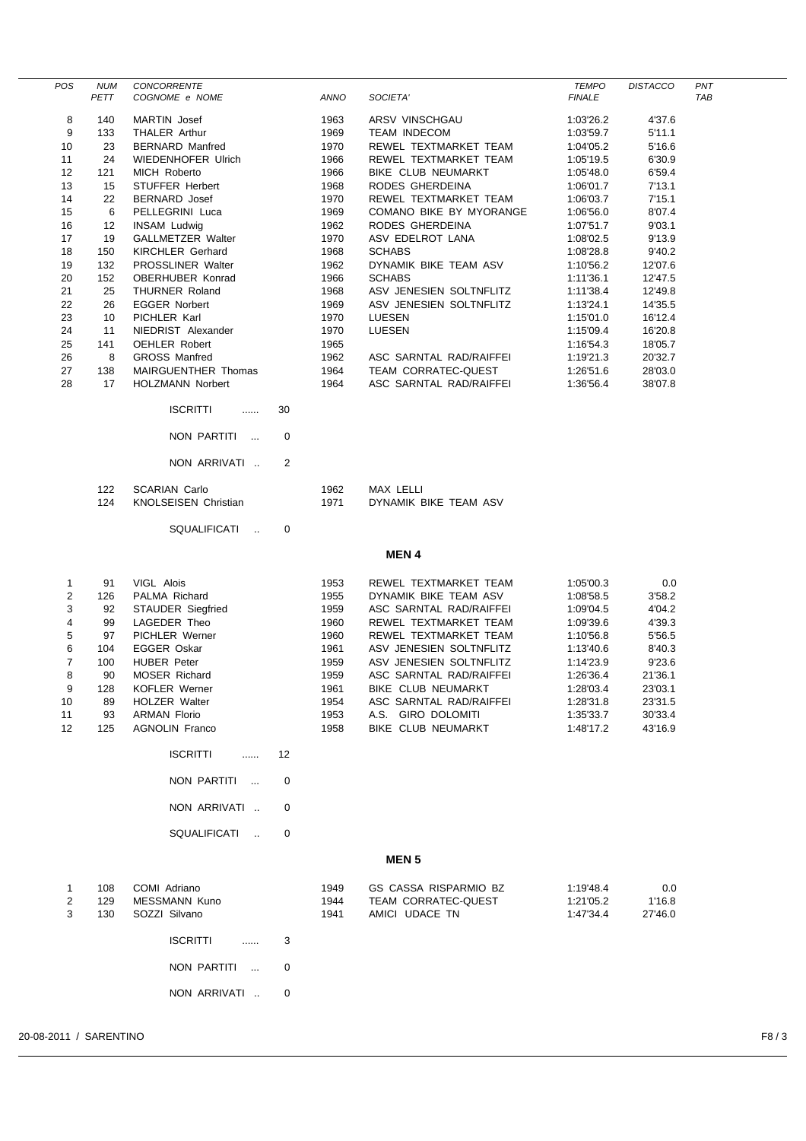| <b>POS</b>                                                     | <b>NUM</b><br>PETT                              | CONCORRENTE<br>COGNOME e NOME                                                                                                                          |    | <b>ANNO</b>                                                  | SOCIETA'                                                                                                                                                                                                     | <b>TEMPO</b><br><b>FINALE</b>                                                                        | <b>DISTACCO</b>                                                            | PNT<br>TAB |
|----------------------------------------------------------------|-------------------------------------------------|--------------------------------------------------------------------------------------------------------------------------------------------------------|----|--------------------------------------------------------------|--------------------------------------------------------------------------------------------------------------------------------------------------------------------------------------------------------------|------------------------------------------------------------------------------------------------------|----------------------------------------------------------------------------|------------|
| 8                                                              | 140                                             | <b>MARTIN</b> Josef                                                                                                                                    |    | 1963                                                         | ARSV VINSCHGAU                                                                                                                                                                                               | 1:03'26.2                                                                                            | 4'37.6                                                                     |            |
| 9                                                              | 133                                             | <b>THALER Arthur</b>                                                                                                                                   |    | 1969                                                         | <b>TEAM INDECOM</b>                                                                                                                                                                                          | 1:03'59.7                                                                                            | 5'11.1                                                                     |            |
| 10                                                             | 23                                              | <b>BERNARD Manfred</b>                                                                                                                                 |    | 1970                                                         | REWEL TEXTMARKET TEAM                                                                                                                                                                                        | 1:04'05.2                                                                                            | 5'16.6                                                                     |            |
| 11                                                             | 24                                              | <b>WIEDENHOFER Ulrich</b>                                                                                                                              |    | 1966                                                         | REWEL TEXTMARKET TEAM                                                                                                                                                                                        | 1:05'19.5                                                                                            | 6'30.9                                                                     |            |
| 12<br>13                                                       | 121<br>15                                       | MICH Roberto<br>STUFFER Herbert                                                                                                                        |    | 1966<br>1968                                                 | BIKE CLUB NEUMARKT<br>RODES GHERDEINA                                                                                                                                                                        | 1:05'48.0<br>1:06'01.7                                                                               | 6'59.4<br>7'13.1                                                           |            |
| 14                                                             | 22                                              | BERNARD Josef                                                                                                                                          |    | 1970                                                         | REWEL TEXTMARKET TEAM                                                                                                                                                                                        | 1:06'03.7                                                                                            | 7'15.1                                                                     |            |
| 15                                                             | 6                                               | PELLEGRINI Luca                                                                                                                                        |    | 1969                                                         | COMANO BIKE BY MYORANGE                                                                                                                                                                                      | 1:06'56.0                                                                                            | 8'07.4                                                                     |            |
| 16                                                             | 12                                              | <b>INSAM Ludwig</b>                                                                                                                                    |    | 1962                                                         | RODES GHERDEINA                                                                                                                                                                                              | 1:07'51.7                                                                                            | 9'03.1                                                                     |            |
| 17                                                             | 19                                              | <b>GALLMETZER Walter</b>                                                                                                                               |    | 1970                                                         | ASV EDELROT LANA                                                                                                                                                                                             | 1:08'02.5                                                                                            | 9'13.9                                                                     |            |
| 18                                                             | 150                                             | <b>KIRCHLER Gerhard</b>                                                                                                                                |    | 1968                                                         | <b>SCHABS</b>                                                                                                                                                                                                | 1:08'28.8                                                                                            | 9'40.2                                                                     |            |
| 19                                                             | 132                                             | <b>PROSSLINER Walter</b>                                                                                                                               |    | 1962                                                         | DYNAMIK BIKE TEAM ASV                                                                                                                                                                                        | 1:10'56.2                                                                                            | 12'07.6                                                                    |            |
| 20                                                             | 152                                             | OBERHUBER Konrad                                                                                                                                       |    | 1966                                                         | <b>SCHABS</b>                                                                                                                                                                                                | 1:11'36.1                                                                                            | 12'47.5                                                                    |            |
| 21                                                             | 25                                              | THURNER Roland                                                                                                                                         |    | 1968                                                         | ASV JENESIEN SOLTNFLITZ                                                                                                                                                                                      | 1:11'38.4                                                                                            | 12'49.8                                                                    |            |
| 22<br>23                                                       | 26<br>10                                        | <b>EGGER Norbert</b><br>PICHLER Karl                                                                                                                   |    | 1969<br>1970                                                 | ASV JENESIEN SOLTNFLITZ<br>LUESEN                                                                                                                                                                            | 1:13'24.1                                                                                            | 14'35.5<br>16'12.4                                                         |            |
| 24                                                             | 11                                              | NIEDRIST Alexander                                                                                                                                     |    | 1970                                                         | LUESEN                                                                                                                                                                                                       | 1:15'01.0<br>1:15'09.4                                                                               | 16'20.8                                                                    |            |
| 25                                                             | 141                                             | <b>OEHLER Robert</b>                                                                                                                                   |    | 1965                                                         |                                                                                                                                                                                                              | 1:16'54.3                                                                                            | 18'05.7                                                                    |            |
| 26                                                             | 8                                               | <b>GROSS Manfred</b>                                                                                                                                   |    | 1962                                                         | ASC SARNTAL RAD/RAIFFEI                                                                                                                                                                                      | 1:19'21.3                                                                                            | 20'32.7                                                                    |            |
| 27                                                             | 138                                             | <b>MAIRGUENTHER Thomas</b>                                                                                                                             |    | 1964                                                         | TEAM CORRATEC-QUEST                                                                                                                                                                                          | 1:26'51.6                                                                                            | 28'03.0                                                                    |            |
| 28                                                             | 17                                              | <b>HOLZMANN Norbert</b>                                                                                                                                |    | 1964                                                         | ASC SARNTAL RAD/RAIFFEI                                                                                                                                                                                      | 1:36'56.4                                                                                            | 38'07.8                                                                    |            |
|                                                                |                                                 | <b>ISCRITTI</b><br>.                                                                                                                                   | 30 |                                                              |                                                                                                                                                                                                              |                                                                                                      |                                                                            |            |
|                                                                |                                                 | NON PARTITI<br>$\sim$                                                                                                                                  | 0  |                                                              |                                                                                                                                                                                                              |                                                                                                      |                                                                            |            |
|                                                                |                                                 | NON ARRIVATI                                                                                                                                           | 2  |                                                              |                                                                                                                                                                                                              |                                                                                                      |                                                                            |            |
|                                                                | 122<br>124                                      | <b>SCARIAN Carlo</b><br>KNOLSEISEN Christian                                                                                                           |    | 1962<br>1971                                                 | MAX LELLI<br>DYNAMIK BIKE TEAM ASV                                                                                                                                                                           |                                                                                                      |                                                                            |            |
|                                                                |                                                 | SQUALIFICATI<br>$\sim$                                                                                                                                 | 0  |                                                              |                                                                                                                                                                                                              |                                                                                                      |                                                                            |            |
|                                                                |                                                 |                                                                                                                                                        |    |                                                              | <b>MEN4</b>                                                                                                                                                                                                  |                                                                                                      |                                                                            |            |
| 1<br>$\overline{2}$<br>3<br>4<br>5<br>6<br>$\overline{7}$<br>8 | 91<br>126<br>92<br>99<br>97<br>104<br>100<br>90 | VIGL Alois<br>PALMA Richard<br><b>STAUDER</b> Siegfried<br>LAGEDER Theo<br>PICHLER Werner<br>EGGER Oskar<br><b>HUBER Peter</b><br><b>MOSER Richard</b> |    | 1953<br>1955<br>1959<br>1960<br>1960<br>1961<br>1959<br>1959 | REWEL TEXTMARKET TEAM<br>DYNAMIK BIKE TEAM ASV<br>ASC SARNTAL RAD/RAIFFEI<br>REWEL TEXTMARKET TEAM<br>REWEL TEXTMARKET TEAM<br>ASV JENESIEN SOLTNFLITZ<br>ASV JENESIEN SOLTNFLITZ<br>ASC SARNTAL RAD/RAIFFEI | 1:05'00.3<br>1:08'58.5<br>1:09'04.5<br>1:09'39.6<br>1:10'56.8<br>1:13'40.6<br>1:14'23.9<br>1:26'36.4 | 0.0<br>3'58.2<br>4'04.2<br>4'39.3<br>5'56.5<br>8'40.3<br>9'23.6<br>21'36.1 |            |
| 9<br>10                                                        | 128<br>89                                       | <b>KOFLER Werner</b><br><b>HOLZER Walter</b>                                                                                                           |    | 1961<br>1954                                                 | BIKE CLUB NEUMARKT<br>ASC SARNTAL RAD/RAIFFEI                                                                                                                                                                | 1:28'03.4<br>1:28'31.8                                                                               | 23'03.1<br>23'31.5                                                         |            |
| 11                                                             | 93                                              | <b>ARMAN Florio</b>                                                                                                                                    |    | 1953                                                         | A.S. GIRO DOLOMITI                                                                                                                                                                                           | 1:35'33.7                                                                                            | 30'33.4                                                                    |            |
| 12                                                             | 125                                             | <b>AGNOLIN Franco</b>                                                                                                                                  |    | 1958                                                         | BIKE CLUB NEUMARKT                                                                                                                                                                                           | 1:48'17.2                                                                                            | 43'16.9                                                                    |            |
|                                                                |                                                 | <b>ISCRITTI</b><br>.                                                                                                                                   | 12 |                                                              |                                                                                                                                                                                                              |                                                                                                      |                                                                            |            |
|                                                                |                                                 | NON PARTITI<br>$\cdots$                                                                                                                                | 0  |                                                              |                                                                                                                                                                                                              |                                                                                                      |                                                                            |            |
|                                                                |                                                 | NON ARRIVATI                                                                                                                                           | 0  |                                                              |                                                                                                                                                                                                              |                                                                                                      |                                                                            |            |
|                                                                |                                                 | SQUALIFICATI<br>$\sim$                                                                                                                                 | 0  |                                                              |                                                                                                                                                                                                              |                                                                                                      |                                                                            |            |
|                                                                |                                                 |                                                                                                                                                        |    |                                                              | <b>MEN<sub>5</sub></b>                                                                                                                                                                                       |                                                                                                      |                                                                            |            |
| 1<br>2<br>3                                                    | 108<br>129<br>130                               | COMI Adriano<br><b>MESSMANN Kuno</b><br>SOZZI Silvano                                                                                                  |    | 1949<br>1944<br>1941                                         | GS CASSA RISPARMIO BZ<br><b>TEAM CORRATEC-QUEST</b><br>AMICI UDACE TN                                                                                                                                        | 1:19'48.4<br>1:21'05.2<br>1:47'34.4                                                                  | 0.0<br>1'16.8<br>27'46.0                                                   |            |
|                                                                |                                                 | <b>ISCRITTI</b><br>.                                                                                                                                   | 3  |                                                              |                                                                                                                                                                                                              |                                                                                                      |                                                                            |            |
|                                                                |                                                 | NON PARTITI<br>$\sim$                                                                                                                                  | 0  |                                                              |                                                                                                                                                                                                              |                                                                                                      |                                                                            |            |
|                                                                |                                                 | NON ARRIVATI                                                                                                                                           | 0  |                                                              |                                                                                                                                                                                                              |                                                                                                      |                                                                            |            |

 $\overline{a}$